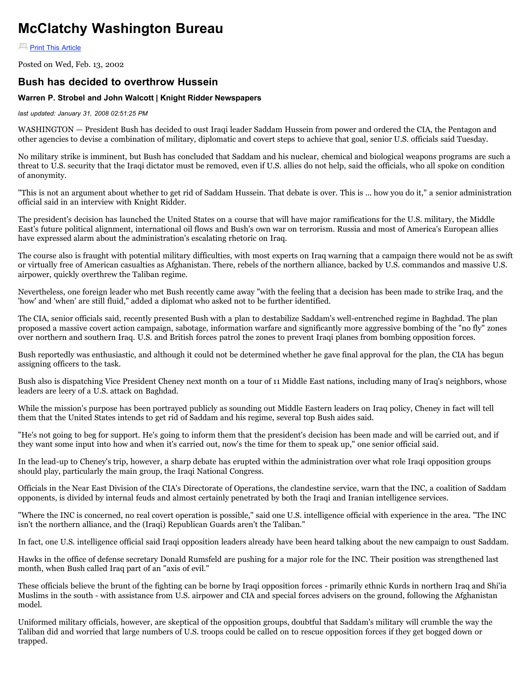## **McClatchy Washington Bureau**

**[Print This Article](http://www.mcclatchydc.com/staff/warren_strobel/v-print/story/16310.html#)** 

Posted on Wed, Feb. 13, 2002

## **Bush has decided to overthrow Hussein**

## **Warren P. Strobel and John Walcott | Knight Ridder Newspapers**

*last updated: January 31, 2008 02:51:25 PM*

WASHINGTON — President Bush has decided to oust Iraqi leader Saddam Hussein from power and ordered the CIA, the Pentagon and other agencies to devise a combination of military, diplomatic and covert steps to achieve that goal, senior U.S. officials said Tuesday.

No military strike is imminent, but Bush has concluded that Saddam and his nuclear, chemical and biological weapons programs are such a threat to U.S. security that the Iraqi dictator must be removed, even if U.S. allies do not help, said the officials, who all spoke on condition of anonymity.

"This is not an argument about whether to get rid of Saddam Hussein. That debate is over. This is ... how you do it," a senior administration official said in an interview with Knight Ridder.

The president's decision has launched the United States on a course that will have major ramifications for the U.S. military, the Middle East's future political alignment, international oil flows and Bush's own war on terrorism. Russia and most of America's European allies have expressed alarm about the administration's escalating rhetoric on Iraq.

The course also is fraught with potential military difficulties, with most experts on Iraq warning that a campaign there would not be as swift or virtually free of American casualties as Afghanistan. There, rebels of the northern alliance, backed by U.S. commandos and massive U.S. airpower, quickly overthrew the Taliban regime.

Nevertheless, one foreign leader who met Bush recently came away "with the feeling that a decision has been made to strike Iraq, and the 'how' and 'when' are still fluid," added a diplomat who asked not to be further identified.

The CIA, senior officials said, recently presented Bush with a plan to destabilize Saddam's well-entrenched regime in Baghdad. The plan proposed a massive covert action campaign, sabotage, information warfare and significantly more aggressive bombing of the "no fly" zones over northern and southern Iraq. U.S. and British forces patrol the zones to prevent Iraqi planes from bombing opposition forces.

Bush reportedly was enthusiastic, and although it could not be determined whether he gave final approval for the plan, the CIA has begun assigning officers to the task.

Bush also is dispatching Vice President Cheney next month on a tour of 11 Middle East nations, including many of Iraq's neighbors, whose leaders are leery of a U.S. attack on Baghdad.

While the mission's purpose has been portrayed publicly as sounding out Middle Eastern leaders on Iraq policy, Cheney in fact will tell them that the United States intends to get rid of Saddam and his regime, several top Bush aides said.

"He's not going to beg for support. He's going to inform them that the president's decision has been made and will be carried out, and if they want some input into how and when it's carried out, now's the time for them to speak up," one senior official said.

In the lead-up to Cheney's trip, however, a sharp debate has erupted within the administration over what role Iraqi opposition groups should play, particularly the main group, the Iraqi National Congress.

Officials in the Near East Division of the CIA's Directorate of Operations, the clandestine service, warn that the INC, a coalition of Saddam opponents, is divided by internal feuds and almost certainly penetrated by both the Iraqi and Iranian intelligence services.

"Where the INC is concerned, no real covert operation is possible," said one U.S. intelligence official with experience in the area. "The INC isn't the northern alliance, and the (Iraqi) Republican Guards aren't the Taliban."

In fact, one U.S. intelligence official said Iraqi opposition leaders already have been heard talking about the new campaign to oust Saddam.

Hawks in the office of defense secretary Donald Rumsfeld are pushing for a major role for the INC. Their position was strengthened last month, when Bush called Iraq part of an "axis of evil."

These officials believe the brunt of the fighting can be borne by Iraqi opposition forces - primarily ethnic Kurds in northern Iraq and Shi'ia Muslims in the south - with assistance from U.S. airpower and CIA and special forces advisers on the ground, following the Afghanistan model.

Uniformed military officials, however, are skeptical of the opposition groups, doubtful that Saddam's military will crumble the way the Taliban did and worried that large numbers of U.S. troops could be called on to rescue opposition forces if they get bogged down or trapped.